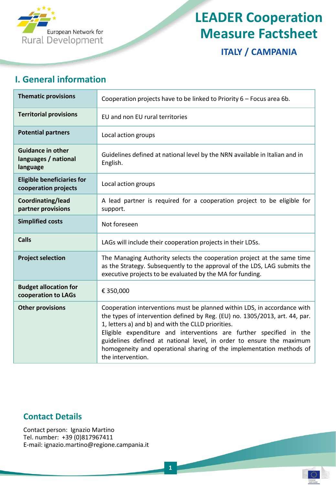

# **LEADER Cooperation Measure Factsheet**

**ITALY / CAMPANIA**

#### **I. General information**

| <b>Thematic provisions</b>                                   | Cooperation projects have to be linked to Priority 6 - Focus area 6b.                                                                                                                                                                                                                                                                                                                                                                                     |
|--------------------------------------------------------------|-----------------------------------------------------------------------------------------------------------------------------------------------------------------------------------------------------------------------------------------------------------------------------------------------------------------------------------------------------------------------------------------------------------------------------------------------------------|
| <b>Territorial provisions</b>                                | EU and non EU rural territories                                                                                                                                                                                                                                                                                                                                                                                                                           |
| <b>Potential partners</b>                                    | Local action groups                                                                                                                                                                                                                                                                                                                                                                                                                                       |
| <b>Guidance in other</b><br>languages / national<br>language | Guidelines defined at national level by the NRN available in Italian and in<br>English.                                                                                                                                                                                                                                                                                                                                                                   |
| <b>Eligible beneficiaries for</b><br>cooperation projects    | Local action groups                                                                                                                                                                                                                                                                                                                                                                                                                                       |
| Coordinating/lead<br>partner provisions                      | A lead partner is required for a cooperation project to be eligible for<br>support.                                                                                                                                                                                                                                                                                                                                                                       |
| <b>Simplified costs</b>                                      | Not foreseen                                                                                                                                                                                                                                                                                                                                                                                                                                              |
| <b>Calls</b>                                                 | LAGs will include their cooperation projects in their LDSs.                                                                                                                                                                                                                                                                                                                                                                                               |
| <b>Project selection</b>                                     | The Managing Authority selects the cooperation project at the same time<br>as the Strategy. Subsequently to the approval of the LDS, LAG submits the<br>executive projects to be evaluated by the MA for funding.                                                                                                                                                                                                                                         |
| <b>Budget allocation for</b><br>cooperation to LAGs          | € 350,000                                                                                                                                                                                                                                                                                                                                                                                                                                                 |
| <b>Other provisions</b>                                      | Cooperation interventions must be planned within LDS, in accordance with<br>the types of intervention defined by Reg. (EU) no. 1305/2013, art. 44, par.<br>1, letters a) and b) and with the CLLD priorities.<br>Eligible expenditure and interventions are further specified in the<br>guidelines defined at national level, in order to ensure the maximum<br>homogeneity and operational sharing of the implementation methods of<br>the intervention. |

#### **Contact Details**

Contact person: Ignazio Martino Tel. number: +39 (0)817967411 E-mail: ignazio.martino@regione.campania.it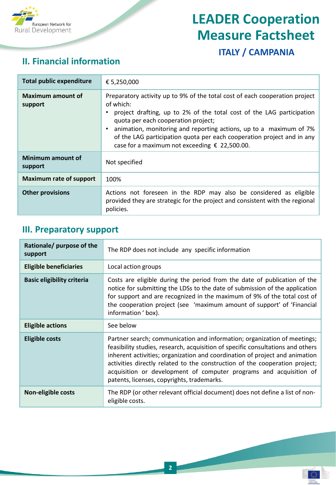

# **LEADER Cooperation Measure Factsheet**

### **ITALY / CAMPANIA**

εn

#### **II. Financial information**

| <b>Total public expenditure</b>     | € 5,250,000                                                                                                                                                                                                                                                                                                                                                                                               |
|-------------------------------------|-----------------------------------------------------------------------------------------------------------------------------------------------------------------------------------------------------------------------------------------------------------------------------------------------------------------------------------------------------------------------------------------------------------|
| <b>Maximum amount of</b><br>support | Preparatory activity up to 9% of the total cost of each cooperation project<br>of which:<br>project drafting, up to 2% of the total cost of the LAG participation<br>quota per each cooperation project;<br>animation, monitoring and reporting actions, up to a maximum of 7%<br>of the LAG participation quota per each cooperation project and in any<br>case for a maximum not exceeding € 22,500.00. |
| Minimum amount of<br>support        | Not specified                                                                                                                                                                                                                                                                                                                                                                                             |
| <b>Maximum rate of support</b>      | 100%                                                                                                                                                                                                                                                                                                                                                                                                      |
| <b>Other provisions</b>             | Actions not foreseen in the RDP may also be considered as eligible<br>provided they are strategic for the project and consistent with the regional<br>policies.                                                                                                                                                                                                                                           |

#### **III. Preparatory support**

| Rationale/ purpose of the<br>support | The RDP does not include any specific information                                                                                                                                                                                                                                                                                                                                                                                             |
|--------------------------------------|-----------------------------------------------------------------------------------------------------------------------------------------------------------------------------------------------------------------------------------------------------------------------------------------------------------------------------------------------------------------------------------------------------------------------------------------------|
| <b>Eligible beneficiaries</b>        | Local action groups                                                                                                                                                                                                                                                                                                                                                                                                                           |
| <b>Basic eligibility criteria</b>    | Costs are eligible during the period from the date of publication of the<br>notice for submitting the LDSs to the date of submission of the application<br>for support and are recognized in the maximum of 9% of the total cost of<br>the cooperation project (see 'maximum amount of support' of 'Financial<br>information 'box).                                                                                                           |
| <b>Eligible actions</b>              | See below                                                                                                                                                                                                                                                                                                                                                                                                                                     |
| <b>Eligible costs</b>                | Partner search; communication and information; organization of meetings;<br>feasibility studies, research, acquisition of specific consultations and others<br>inherent activities; organization and coordination of project and animation<br>activities directly related to the construction of the cooperation project;<br>acquisition or development of computer programs and acquisition of<br>patents, licenses, copyrights, trademarks. |
| Non-eligible costs                   | The RDP (or other relevant official document) does not define a list of non-<br>eligible costs.                                                                                                                                                                                                                                                                                                                                               |